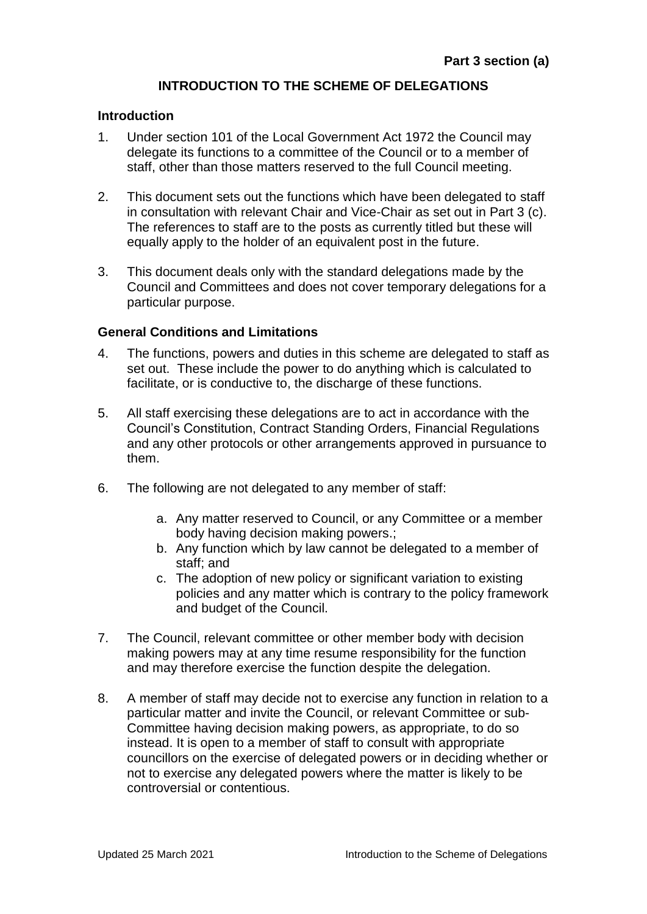# **INTRODUCTION TO THE SCHEME OF DELEGATIONS**

#### **Introduction**

- 1. Under section 101 of the Local Government Act 1972 the Council may delegate its functions to a committee of the Council or to a member of staff, other than those matters reserved to the full Council meeting.
- 2. This document sets out the functions which have been delegated to staff in consultation with relevant Chair and Vice-Chair as set out in Part 3 (c). The references to staff are to the posts as currently titled but these will equally apply to the holder of an equivalent post in the future.
- 3. This document deals only with the standard delegations made by the Council and Committees and does not cover temporary delegations for a particular purpose.

#### **General Conditions and Limitations**

- 4. The functions, powers and duties in this scheme are delegated to staff as set out. These include the power to do anything which is calculated to facilitate, or is conductive to, the discharge of these functions.
- 5. All staff exercising these delegations are to act in accordance with the Council's Constitution, Contract Standing Orders, Financial Regulations and any other protocols or other arrangements approved in pursuance to them.
- 6. The following are not delegated to any member of staff:
	- a. Any matter reserved to Council, or any Committee or a member body having decision making powers.;
	- b. Any function which by law cannot be delegated to a member of staff; and
	- c. The adoption of new policy or significant variation to existing policies and any matter which is contrary to the policy framework and budget of the Council.
- 7. The Council, relevant committee or other member body with decision making powers may at any time resume responsibility for the function and may therefore exercise the function despite the delegation.
- 8. A member of staff may decide not to exercise any function in relation to a particular matter and invite the Council, or relevant Committee or sub-Committee having decision making powers, as appropriate, to do so instead. It is open to a member of staff to consult with appropriate councillors on the exercise of delegated powers or in deciding whether or not to exercise any delegated powers where the matter is likely to be controversial or contentious.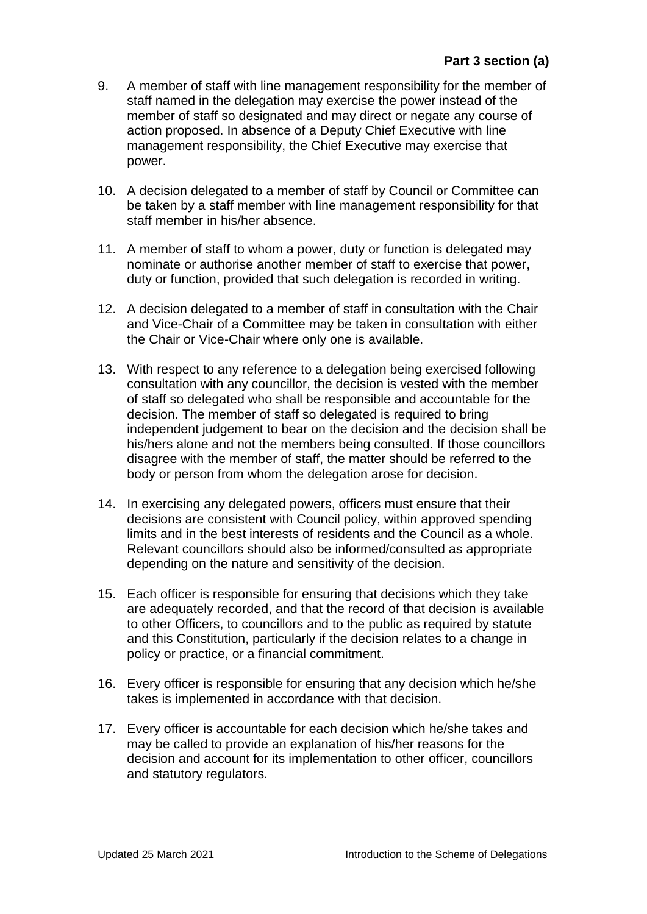- 9. A member of staff with line management responsibility for the member of staff named in the delegation may exercise the power instead of the member of staff so designated and may direct or negate any course of action proposed. In absence of a Deputy Chief Executive with line management responsibility, the Chief Executive may exercise that power.
- 10. A decision delegated to a member of staff by Council or Committee can be taken by a staff member with line management responsibility for that staff member in his/her absence.
- 11. A member of staff to whom a power, duty or function is delegated may nominate or authorise another member of staff to exercise that power, duty or function, provided that such delegation is recorded in writing.
- 12. A decision delegated to a member of staff in consultation with the Chair and Vice-Chair of a Committee may be taken in consultation with either the Chair or Vice-Chair where only one is available.
- 13. With respect to any reference to a delegation being exercised following consultation with any councillor, the decision is vested with the member of staff so delegated who shall be responsible and accountable for the decision. The member of staff so delegated is required to bring independent judgement to bear on the decision and the decision shall be his/hers alone and not the members being consulted. If those councillors disagree with the member of staff, the matter should be referred to the body or person from whom the delegation arose for decision.
- 14. In exercising any delegated powers, officers must ensure that their decisions are consistent with Council policy, within approved spending limits and in the best interests of residents and the Council as a whole. Relevant councillors should also be informed/consulted as appropriate depending on the nature and sensitivity of the decision.
- 15. Each officer is responsible for ensuring that decisions which they take are adequately recorded, and that the record of that decision is available to other Officers, to councillors and to the public as required by statute and this Constitution, particularly if the decision relates to a change in policy or practice, or a financial commitment.
- 16. Every officer is responsible for ensuring that any decision which he/she takes is implemented in accordance with that decision.
- 17. Every officer is accountable for each decision which he/she takes and may be called to provide an explanation of his/her reasons for the decision and account for its implementation to other officer, councillors and statutory regulators.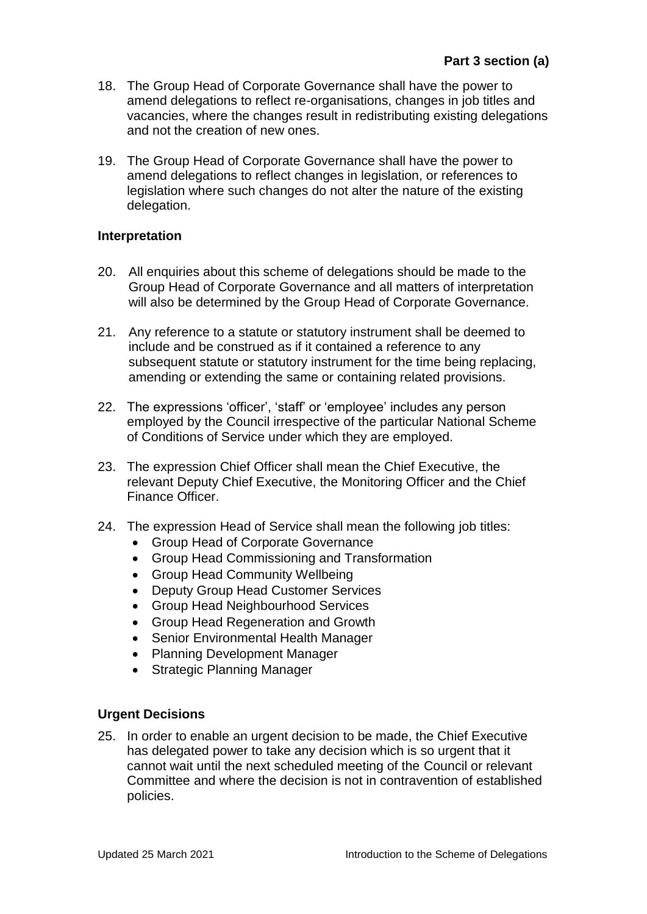- 18. The Group Head of Corporate Governance shall have the power to amend delegations to reflect re-organisations, changes in job titles and vacancies, where the changes result in redistributing existing delegations and not the creation of new ones.
- 19. The Group Head of Corporate Governance shall have the power to amend delegations to reflect changes in legislation, or references to legislation where such changes do not alter the nature of the existing delegation.

# **Interpretation**

- 20. All enquiries about this scheme of delegations should be made to the Group Head of Corporate Governance and all matters of interpretation will also be determined by the Group Head of Corporate Governance.
- 21. Any reference to a statute or statutory instrument shall be deemed to include and be construed as if it contained a reference to any subsequent statute or statutory instrument for the time being replacing, amending or extending the same or containing related provisions.
- 22. The expressions 'officer', 'staff' or 'employee' includes any person employed by the Council irrespective of the particular National Scheme of Conditions of Service under which they are employed.
- 23. The expression Chief Officer shall mean the Chief Executive, the relevant Deputy Chief Executive, the Monitoring Officer and the Chief Finance Officer.
- 24. The expression Head of Service shall mean the following job titles:
	- Group Head of Corporate Governance
	- Group Head Commissioning and Transformation
	- Group Head Community Wellbeing
	- Deputy Group Head Customer Services
	- Group Head Neighbourhood Services
	- Group Head Regeneration and Growth
	- Senior Environmental Health Manager
	- Planning Development Manager
	- Strategic Planning Manager

### **Urgent Decisions**

25. In order to enable an urgent decision to be made, the Chief Executive has delegated power to take any decision which is so urgent that it cannot wait until the next scheduled meeting of the Council or relevant Committee and where the decision is not in contravention of established policies.